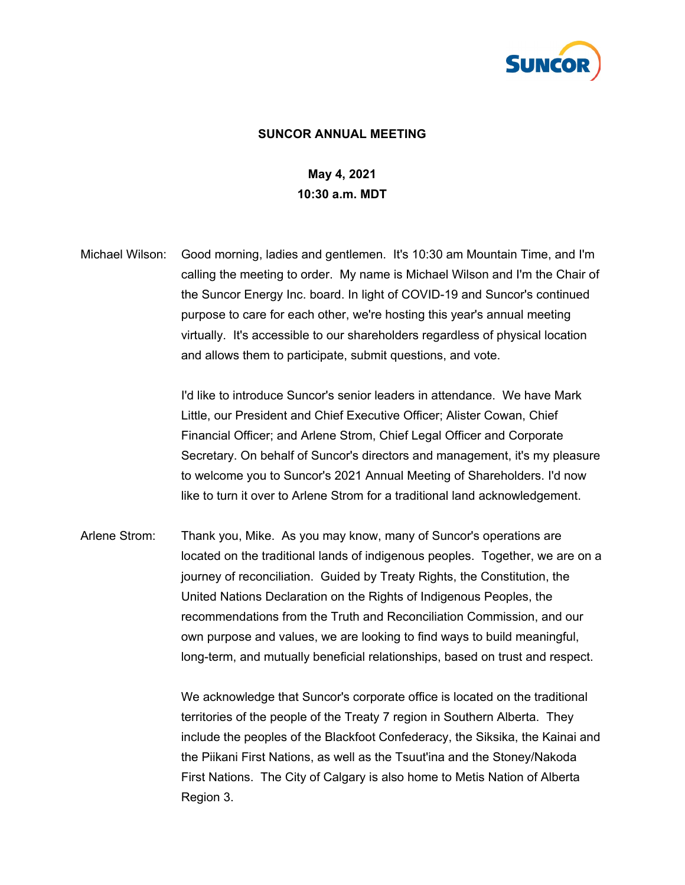

## **SUNCOR ANNUAL MEETING**

## **May 4, 2021 10:30 a.m. MDT**

Michael Wilson: Good morning, ladies and gentlemen. It's 10:30 am Mountain Time, and I'm calling the meeting to order. My name is Michael Wilson and I'm the Chair of the Suncor Energy Inc. board. In light of COVID-19 and Suncor's continued purpose to care for each other, we're hosting this year's annual meeting virtually. It's accessible to our shareholders regardless of physical location and allows them to participate, submit questions, and vote.

> I'd like to introduce Suncor's senior leaders in attendance. We have Mark Little, our President and Chief Executive Officer; Alister Cowan, Chief Financial Officer; and Arlene Strom, Chief Legal Officer and Corporate Secretary. On behalf of Suncor's directors and management, it's my pleasure to welcome you to Suncor's 2021 Annual Meeting of Shareholders. I'd now like to turn it over to Arlene Strom for a traditional land acknowledgement.

Arlene Strom: Thank you, Mike. As you may know, many of Suncor's operations are located on the traditional lands of indigenous peoples. Together, we are on a journey of reconciliation. Guided by Treaty Rights, the Constitution, the United Nations Declaration on the Rights of Indigenous Peoples, the recommendations from the Truth and Reconciliation Commission, and our own purpose and values, we are looking to find ways to build meaningful, long-term, and mutually beneficial relationships, based on trust and respect.

> We acknowledge that Suncor's corporate office is located on the traditional territories of the people of the Treaty 7 region in Southern Alberta. They include the peoples of the Blackfoot Confederacy, the Siksika, the Kainai and the Piikani First Nations, as well as the Tsuut'ina and the Stoney/Nakoda First Nations. The City of Calgary is also home to Metis Nation of Alberta Region 3.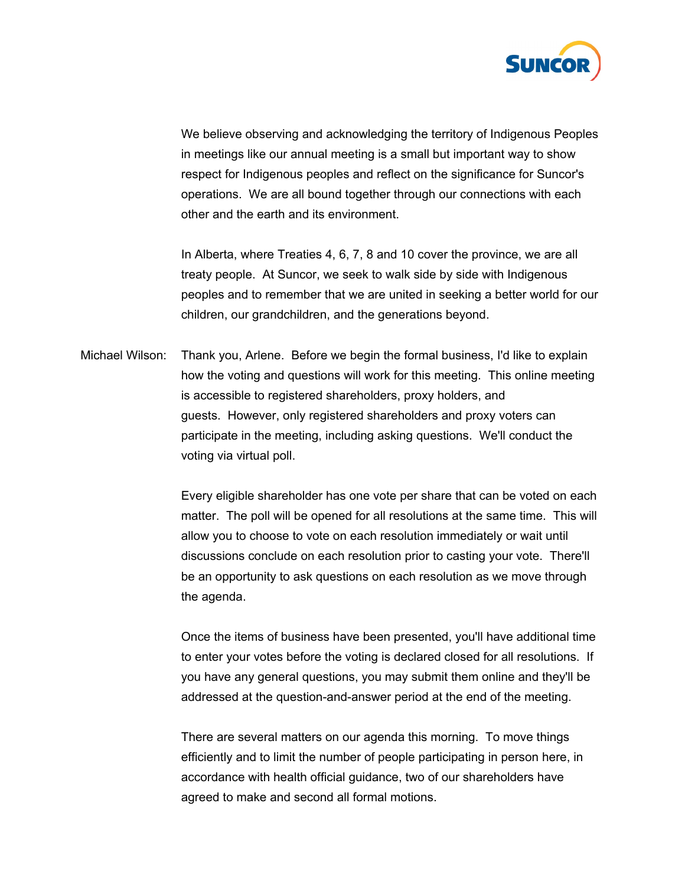

We believe observing and acknowledging the territory of Indigenous Peoples in meetings like our annual meeting is a small but important way to show respect for Indigenous peoples and reflect on the significance for Suncor's operations. We are all bound together through our connections with each other and the earth and its environment.

In Alberta, where Treaties 4, 6, 7, 8 and 10 cover the province, we are all treaty people. At Suncor, we seek to walk side by side with Indigenous peoples and to remember that we are united in seeking a better world for our children, our grandchildren, and the generations beyond.

Michael Wilson: Thank you, Arlene. Before we begin the formal business, I'd like to explain how the voting and questions will work for this meeting. This online meeting is accessible to registered shareholders, proxy holders, and guests. However, only registered shareholders and proxy voters can participate in the meeting, including asking questions. We'll conduct the voting via virtual poll.

> Every eligible shareholder has one vote per share that can be voted on each matter. The poll will be opened for all resolutions at the same time. This will allow you to choose to vote on each resolution immediately or wait until discussions conclude on each resolution prior to casting your vote. There'll be an opportunity to ask questions on each resolution as we move through the agenda.

> Once the items of business have been presented, you'll have additional time to enter your votes before the voting is declared closed for all resolutions. If you have any general questions, you may submit them online and they'll be addressed at the question-and-answer period at the end of the meeting.

There are several matters on our agenda this morning. To move things efficiently and to limit the number of people participating in person here, in accordance with health official guidance, two of our shareholders have agreed to make and second all formal motions.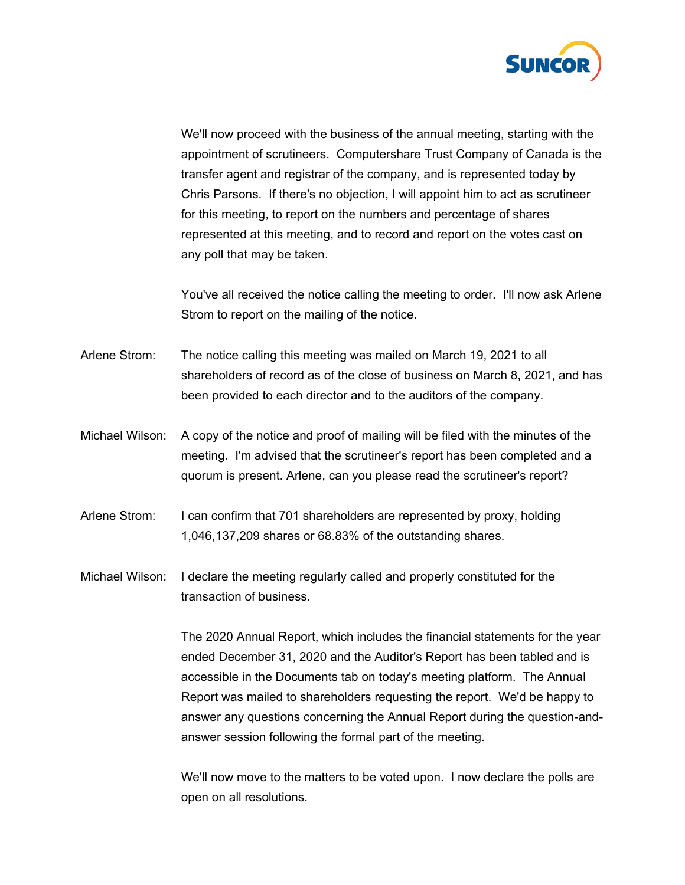

We'll now proceed with the business of the annual meeting, starting with the appointment of scrutineers. Computershare Trust Company of Canada is the transfer agent and registrar of the company, and is represented today by Chris Parsons. If there's no objection, I will appoint him to act as scrutineer for this meeting, to report on the numbers and percentage of shares represented at this meeting, and to record and report on the votes cast on any poll that may be taken.

You've all received the notice calling the meeting to order. I'll now ask Arlene Strom to report on the mailing of the notice.

- Arlene Strom: The notice calling this meeting was mailed on March 19, 2021 to all shareholders of record as of the close of business on March 8, 2021, and has been provided to each director and to the auditors of the company.
- Michael Wilson: A copy of the notice and proof of mailing will be filed with the minutes of the meeting. I'm advised that the scrutineer's report has been completed and a quorum is present. Arlene, can you please read the scrutineer's report?
- Arlene Strom: I can confirm that 701 shareholders are represented by proxy, holding 1,046,137,209 shares or 68.83% of the outstanding shares.
- Michael Wilson: I declare the meeting regularly called and properly constituted for the transaction of business.

The 2020 Annual Report, which includes the financial statements for the year ended December 31, 2020 and the Auditor's Report has been tabled and is accessible in the Documents tab on today's meeting platform. The Annual Report was mailed to shareholders requesting the report. We'd be happy to answer any questions concerning the Annual Report during the question-andanswer session following the formal part of the meeting.

We'll now move to the matters to be voted upon. I now declare the polls are open on all resolutions.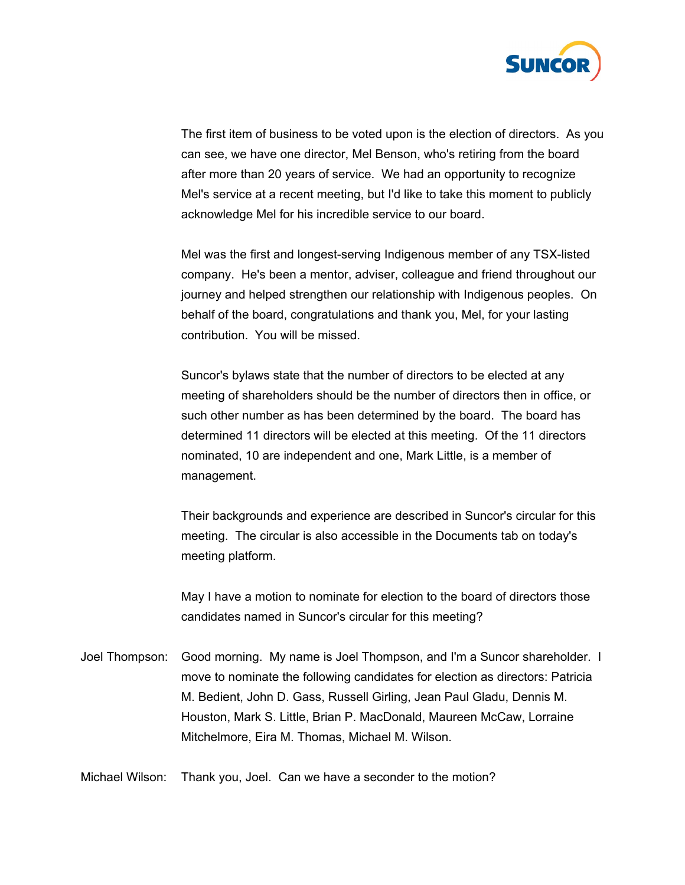

The first item of business to be voted upon is the election of directors. As you can see, we have one director, Mel Benson, who's retiring from the board after more than 20 years of service. We had an opportunity to recognize Mel's service at a recent meeting, but I'd like to take this moment to publicly acknowledge Mel for his incredible service to our board.

Mel was the first and longest-serving Indigenous member of any TSX-listed company. He's been a mentor, adviser, colleague and friend throughout our journey and helped strengthen our relationship with Indigenous peoples. On behalf of the board, congratulations and thank you, Mel, for your lasting contribution. You will be missed.

Suncor's bylaws state that the number of directors to be elected at any meeting of shareholders should be the number of directors then in office, or such other number as has been determined by the board. The board has determined 11 directors will be elected at this meeting. Of the 11 directors nominated, 10 are independent and one, Mark Little, is a member of management.

Their backgrounds and experience are described in Suncor's circular for this meeting. The circular is also accessible in the Documents tab on today's meeting platform.

May I have a motion to nominate for election to the board of directors those candidates named in Suncor's circular for this meeting?

Joel Thompson: Good morning. My name is Joel Thompson, and I'm a Suncor shareholder. I move to nominate the following candidates for election as directors: Patricia M. Bedient, John D. Gass, Russell Girling, Jean Paul Gladu, Dennis M. Houston, Mark S. Little, Brian P. MacDonald, Maureen McCaw, Lorraine Mitchelmore, Eira M. Thomas, Michael M. Wilson.

Michael Wilson: Thank you, Joel. Can we have a seconder to the motion?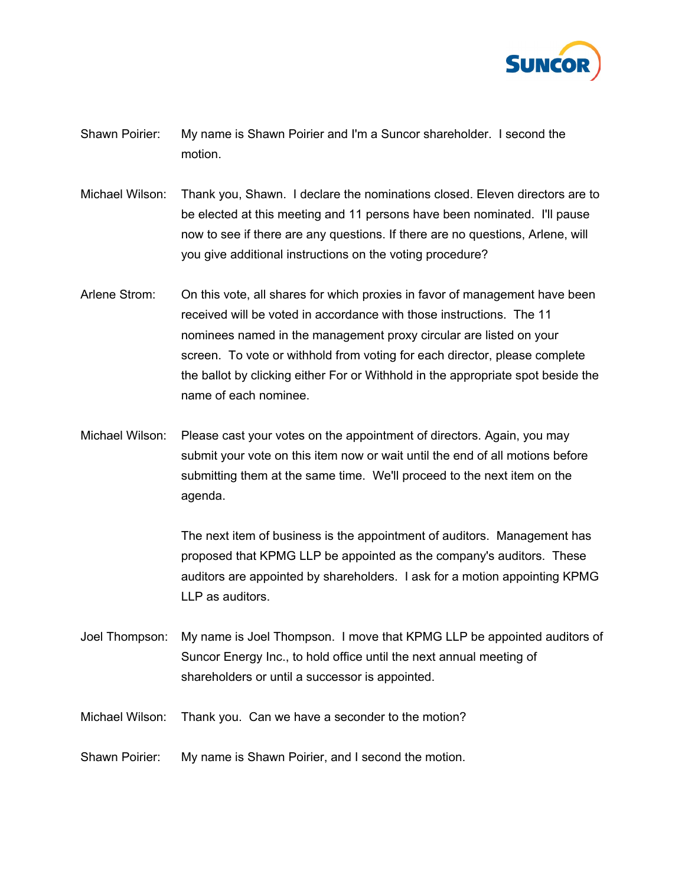

- Shawn Poirier: My name is Shawn Poirier and I'm a Suncor shareholder. I second the motion.
- Michael Wilson: Thank you, Shawn. I declare the nominations closed. Eleven directors are to be elected at this meeting and 11 persons have been nominated. I'll pause now to see if there are any questions. If there are no questions, Arlene, will you give additional instructions on the voting procedure?
- Arlene Strom: On this vote, all shares for which proxies in favor of management have been received will be voted in accordance with those instructions. The 11 nominees named in the management proxy circular are listed on your screen. To vote or withhold from voting for each director, please complete the ballot by clicking either For or Withhold in the appropriate spot beside the name of each nominee.
- Michael Wilson: Please cast your votes on the appointment of directors. Again, you may submit your vote on this item now or wait until the end of all motions before submitting them at the same time. We'll proceed to the next item on the agenda.

The next item of business is the appointment of auditors. Management has proposed that KPMG LLP be appointed as the company's auditors. These auditors are appointed by shareholders. I ask for a motion appointing KPMG LLP as auditors.

- Joel Thompson: My name is Joel Thompson. I move that KPMG LLP be appointed auditors of Suncor Energy Inc., to hold office until the next annual meeting of shareholders or until a successor is appointed.
- Michael Wilson: Thank you. Can we have a seconder to the motion?
- Shawn Poirier: My name is Shawn Poirier, and I second the motion.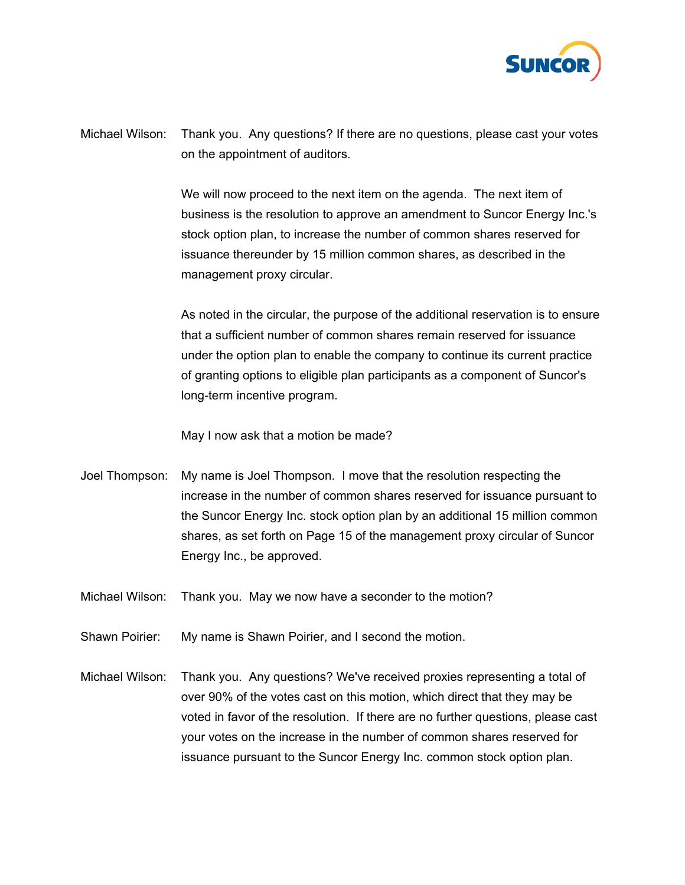

Michael Wilson: Thank you. Any questions? If there are no questions, please cast your votes on the appointment of auditors.

> We will now proceed to the next item on the agenda. The next item of business is the resolution to approve an amendment to Suncor Energy Inc.'s stock option plan, to increase the number of common shares reserved for issuance thereunder by 15 million common shares, as described in the management proxy circular.

> As noted in the circular, the purpose of the additional reservation is to ensure that a sufficient number of common shares remain reserved for issuance under the option plan to enable the company to continue its current practice of granting options to eligible plan participants as a component of Suncor's long-term incentive program.

May I now ask that a motion be made?

- Joel Thompson: My name is Joel Thompson. I move that the resolution respecting the increase in the number of common shares reserved for issuance pursuant to the Suncor Energy Inc. stock option plan by an additional 15 million common shares, as set forth on Page 15 of the management proxy circular of Suncor Energy Inc., be approved.
- Michael Wilson: Thank you. May we now have a seconder to the motion?
- Shawn Poirier: My name is Shawn Poirier, and I second the motion.
- Michael Wilson: Thank you. Any questions? We've received proxies representing a total of over 90% of the votes cast on this motion, which direct that they may be voted in favor of the resolution. If there are no further questions, please cast your votes on the increase in the number of common shares reserved for issuance pursuant to the Suncor Energy Inc. common stock option plan.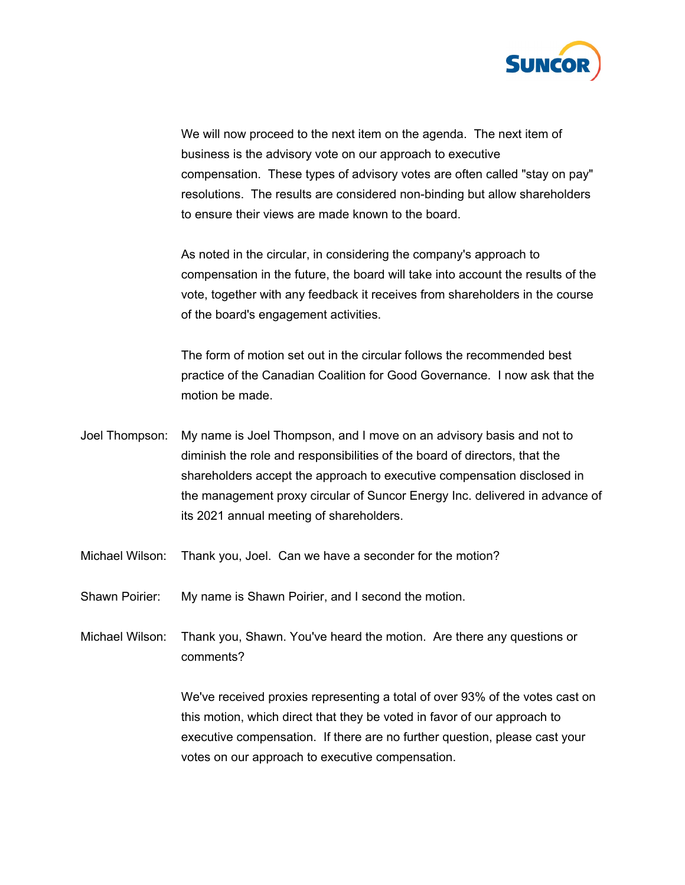

We will now proceed to the next item on the agenda. The next item of business is the advisory vote on our approach to executive compensation. These types of advisory votes are often called "stay on pay" resolutions. The results are considered non-binding but allow shareholders to ensure their views are made known to the board.

As noted in the circular, in considering the company's approach to compensation in the future, the board will take into account the results of the vote, together with any feedback it receives from shareholders in the course of the board's engagement activities.

The form of motion set out in the circular follows the recommended best practice of the Canadian Coalition for Good Governance. I now ask that the motion be made.

- Joel Thompson: My name is Joel Thompson, and I move on an advisory basis and not to diminish the role and responsibilities of the board of directors, that the shareholders accept the approach to executive compensation disclosed in the management proxy circular of Suncor Energy Inc. delivered in advance of its 2021 annual meeting of shareholders.
- Michael Wilson: Thank you, Joel. Can we have a seconder for the motion?
- Shawn Poirier: My name is Shawn Poirier, and I second the motion.
- Michael Wilson: Thank you, Shawn. You've heard the motion. Are there any questions or comments?

We've received proxies representing a total of over 93% of the votes cast on this motion, which direct that they be voted in favor of our approach to executive compensation. If there are no further question, please cast your votes on our approach to executive compensation.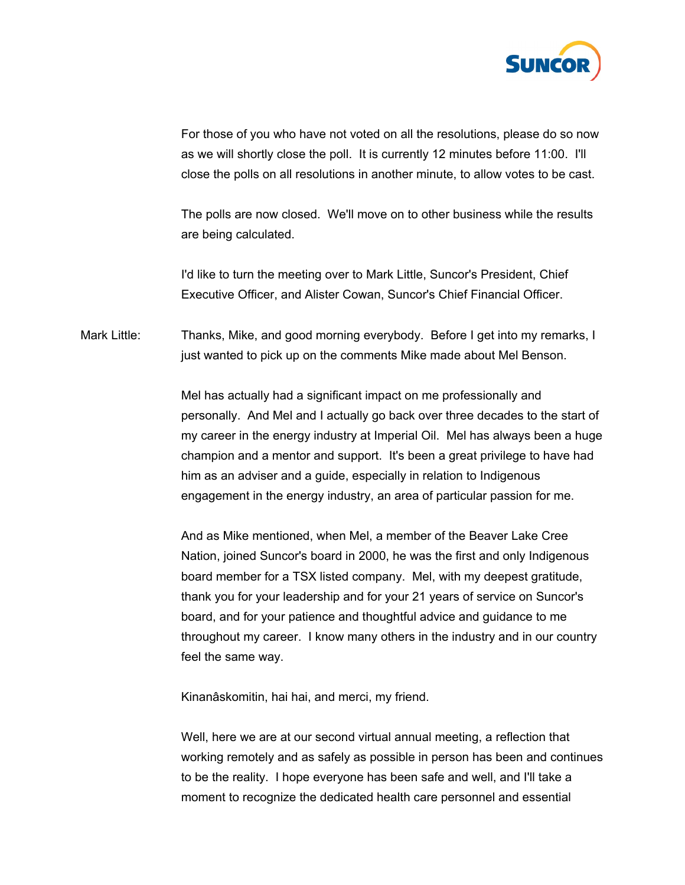

For those of you who have not voted on all the resolutions, please do so now as we will shortly close the poll. It is currently 12 minutes before 11:00. I'll close the polls on all resolutions in another minute, to allow votes to be cast.

The polls are now closed. We'll move on to other business while the results are being calculated.

I'd like to turn the meeting over to Mark Little, Suncor's President, Chief Executive Officer, and Alister Cowan, Suncor's Chief Financial Officer.

Mark Little: Thanks, Mike, and good morning everybody. Before I get into my remarks, I just wanted to pick up on the comments Mike made about Mel Benson.

> Mel has actually had a significant impact on me professionally and personally. And Mel and I actually go back over three decades to the start of my career in the energy industry at Imperial Oil. Mel has always been a huge champion and a mentor and support. It's been a great privilege to have had him as an adviser and a guide, especially in relation to Indigenous engagement in the energy industry, an area of particular passion for me.

And as Mike mentioned, when Mel, a member of the Beaver Lake Cree Nation, joined Suncor's board in 2000, he was the first and only Indigenous board member for a TSX listed company. Mel, with my deepest gratitude, thank you for your leadership and for your 21 years of service on Suncor's board, and for your patience and thoughtful advice and guidance to me throughout my career. I know many others in the industry and in our country feel the same way.

Kinanâskomitin, hai hai, and merci, my friend.

Well, here we are at our second virtual annual meeting, a reflection that working remotely and as safely as possible in person has been and continues to be the reality. I hope everyone has been safe and well, and I'll take a moment to recognize the dedicated health care personnel and essential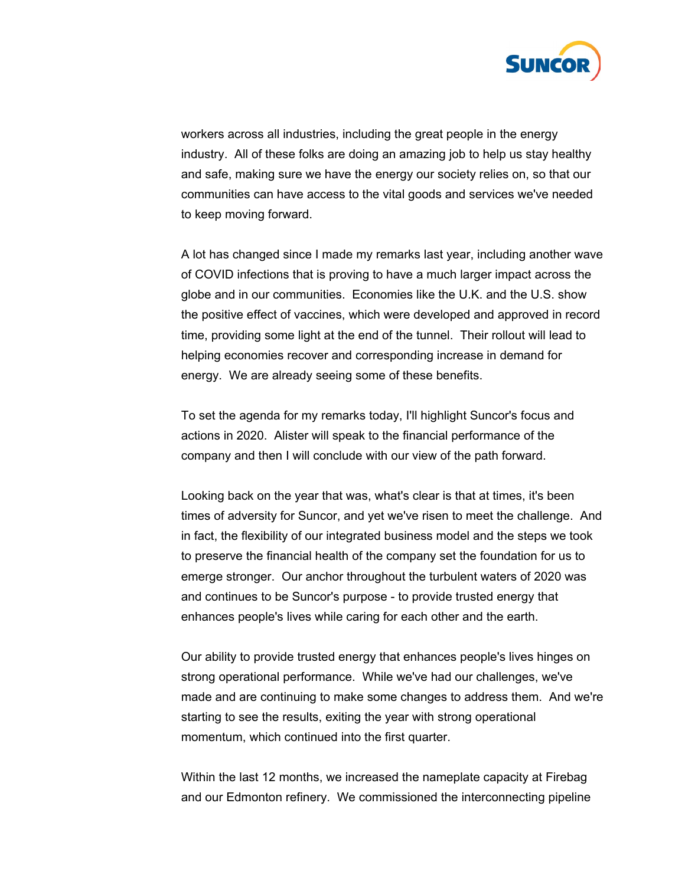

workers across all industries, including the great people in the energy industry. All of these folks are doing an amazing job to help us stay healthy and safe, making sure we have the energy our society relies on, so that our communities can have access to the vital goods and services we've needed to keep moving forward.

A lot has changed since I made my remarks last year, including another wave of COVID infections that is proving to have a much larger impact across the globe and in our communities. Economies like the U.K. and the U.S. show the positive effect of vaccines, which were developed and approved in record time, providing some light at the end of the tunnel. Their rollout will lead to helping economies recover and corresponding increase in demand for energy. We are already seeing some of these benefits.

To set the agenda for my remarks today, I'll highlight Suncor's focus and actions in 2020. Alister will speak to the financial performance of the company and then I will conclude with our view of the path forward.

Looking back on the year that was, what's clear is that at times, it's been times of adversity for Suncor, and yet we've risen to meet the challenge. And in fact, the flexibility of our integrated business model and the steps we took to preserve the financial health of the company set the foundation for us to emerge stronger. Our anchor throughout the turbulent waters of 2020 was and continues to be Suncor's purpose - to provide trusted energy that enhances people's lives while caring for each other and the earth.

Our ability to provide trusted energy that enhances people's lives hinges on strong operational performance. While we've had our challenges, we've made and are continuing to make some changes to address them. And we're starting to see the results, exiting the year with strong operational momentum, which continued into the first quarter.

Within the last 12 months, we increased the nameplate capacity at Firebag and our Edmonton refinery. We commissioned the interconnecting pipeline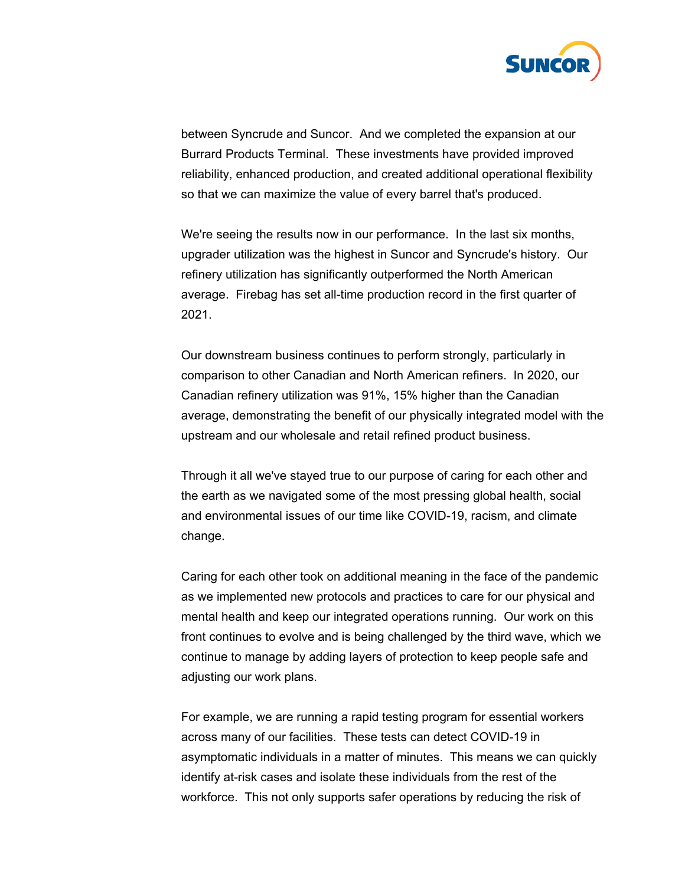

between Syncrude and Suncor. And we completed the expansion at our Burrard Products Terminal. These investments have provided improved reliability, enhanced production, and created additional operational flexibility so that we can maximize the value of every barrel that's produced.

We're seeing the results now in our performance. In the last six months, upgrader utilization was the highest in Suncor and Syncrude's history. Our refinery utilization has significantly outperformed the North American average. Firebag has set all-time production record in the first quarter of 2021.

Our downstream business continues to perform strongly, particularly in comparison to other Canadian and North American refiners. In 2020, our Canadian refinery utilization was 91%, 15% higher than the Canadian average, demonstrating the benefit of our physically integrated model with the upstream and our wholesale and retail refined product business.

Through it all we've stayed true to our purpose of caring for each other and the earth as we navigated some of the most pressing global health, social and environmental issues of our time like COVID-19, racism, and climate change.

Caring for each other took on additional meaning in the face of the pandemic as we implemented new protocols and practices to care for our physical and mental health and keep our integrated operations running. Our work on this front continues to evolve and is being challenged by the third wave, which we continue to manage by adding layers of protection to keep people safe and adjusting our work plans.

For example, we are running a rapid testing program for essential workers across many of our facilities. These tests can detect COVID-19 in asymptomatic individuals in a matter of minutes. This means we can quickly identify at-risk cases and isolate these individuals from the rest of the workforce. This not only supports safer operations by reducing the risk of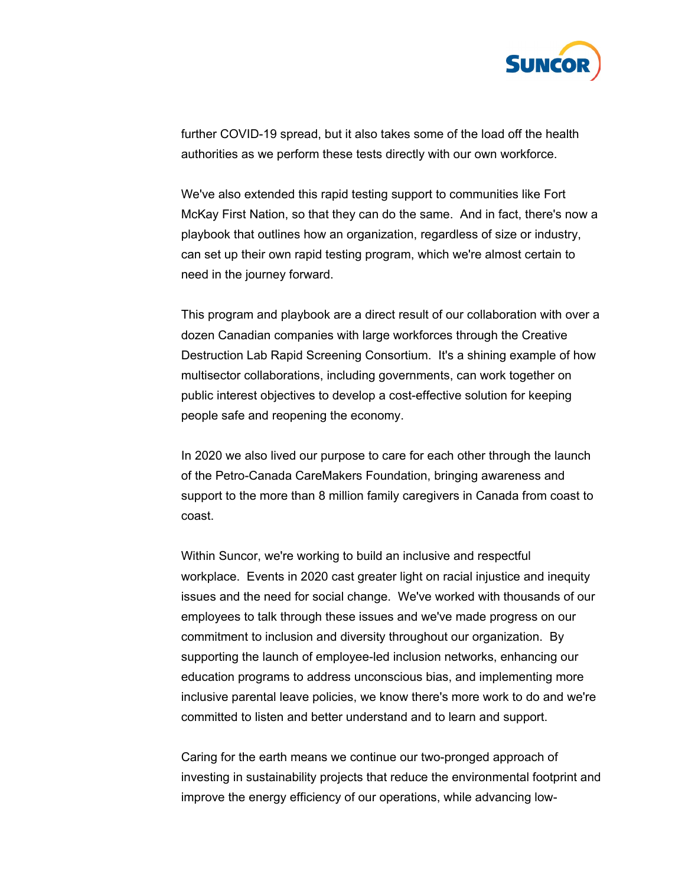

further COVID-19 spread, but it also takes some of the load off the health authorities as we perform these tests directly with our own workforce.

We've also extended this rapid testing support to communities like Fort McKay First Nation, so that they can do the same. And in fact, there's now a playbook that outlines how an organization, regardless of size or industry, can set up their own rapid testing program, which we're almost certain to need in the journey forward.

This program and playbook are a direct result of our collaboration with over a dozen Canadian companies with large workforces through the Creative Destruction Lab Rapid Screening Consortium. It's a shining example of how multisector collaborations, including governments, can work together on public interest objectives to develop a cost-effective solution for keeping people safe and reopening the economy.

In 2020 we also lived our purpose to care for each other through the launch of the Petro-Canada CareMakers Foundation, bringing awareness and support to the more than 8 million family caregivers in Canada from coast to coast.

Within Suncor, we're working to build an inclusive and respectful workplace. Events in 2020 cast greater light on racial injustice and inequity issues and the need for social change. We've worked with thousands of our employees to talk through these issues and we've made progress on our commitment to inclusion and diversity throughout our organization. By supporting the launch of employee-led inclusion networks, enhancing our education programs to address unconscious bias, and implementing more inclusive parental leave policies, we know there's more work to do and we're committed to listen and better understand and to learn and support.

Caring for the earth means we continue our two-pronged approach of investing in sustainability projects that reduce the environmental footprint and improve the energy efficiency of our operations, while advancing low-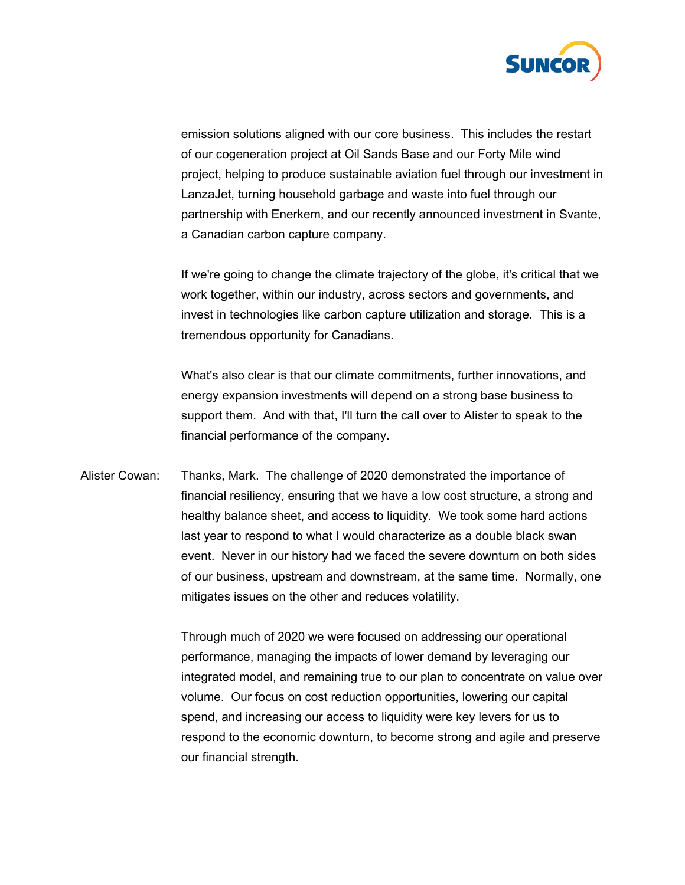

emission solutions aligned with our core business. This includes the restart of our cogeneration project at Oil Sands Base and our Forty Mile wind project, helping to produce sustainable aviation fuel through our investment in LanzaJet, turning household garbage and waste into fuel through our partnership with Enerkem, and our recently announced investment in Svante, a Canadian carbon capture company.

If we're going to change the climate trajectory of the globe, it's critical that we work together, within our industry, across sectors and governments, and invest in technologies like carbon capture utilization and storage. This is a tremendous opportunity for Canadians.

What's also clear is that our climate commitments, further innovations, and energy expansion investments will depend on a strong base business to support them. And with that, I'll turn the call over to Alister to speak to the financial performance of the company.

Alister Cowan: Thanks, Mark. The challenge of 2020 demonstrated the importance of financial resiliency, ensuring that we have a low cost structure, a strong and healthy balance sheet, and access to liquidity. We took some hard actions last year to respond to what I would characterize as a double black swan event. Never in our history had we faced the severe downturn on both sides of our business, upstream and downstream, at the same time. Normally, one mitigates issues on the other and reduces volatility.

> Through much of 2020 we were focused on addressing our operational performance, managing the impacts of lower demand by leveraging our integrated model, and remaining true to our plan to concentrate on value over volume. Our focus on cost reduction opportunities, lowering our capital spend, and increasing our access to liquidity were key levers for us to respond to the economic downturn, to become strong and agile and preserve our financial strength.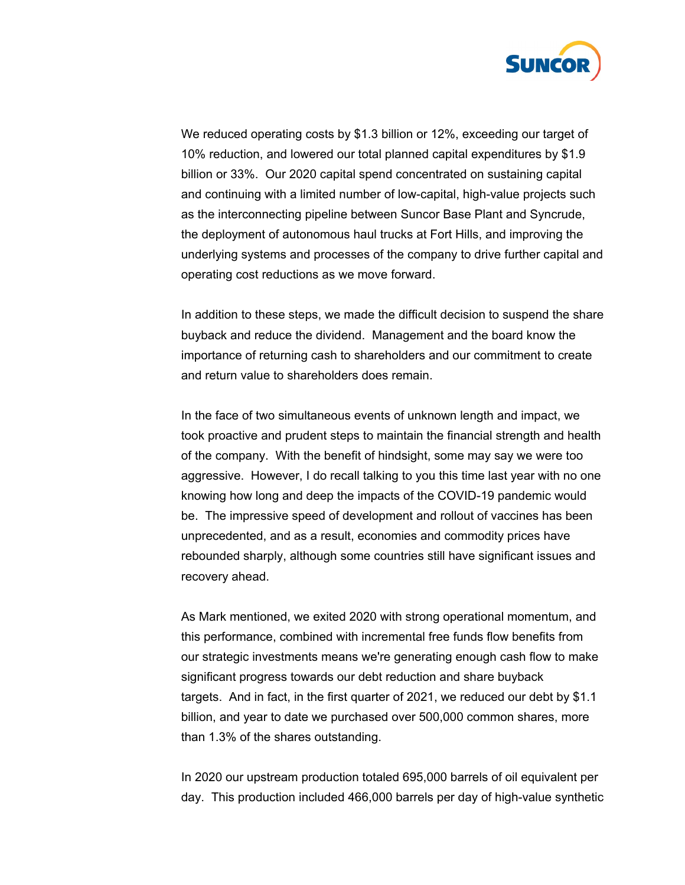

We reduced operating costs by \$1.3 billion or 12%, exceeding our target of 10% reduction, and lowered our total planned capital expenditures by \$1.9 billion or 33%. Our 2020 capital spend concentrated on sustaining capital and continuing with a limited number of low-capital, high-value projects such as the interconnecting pipeline between Suncor Base Plant and Syncrude, the deployment of autonomous haul trucks at Fort Hills, and improving the underlying systems and processes of the company to drive further capital and operating cost reductions as we move forward.

In addition to these steps, we made the difficult decision to suspend the share buyback and reduce the dividend. Management and the board know the importance of returning cash to shareholders and our commitment to create and return value to shareholders does remain.

In the face of two simultaneous events of unknown length and impact, we took proactive and prudent steps to maintain the financial strength and health of the company. With the benefit of hindsight, some may say we were too aggressive. However, I do recall talking to you this time last year with no one knowing how long and deep the impacts of the COVID-19 pandemic would be. The impressive speed of development and rollout of vaccines has been unprecedented, and as a result, economies and commodity prices have rebounded sharply, although some countries still have significant issues and recovery ahead.

As Mark mentioned, we exited 2020 with strong operational momentum, and this performance, combined with incremental free funds flow benefits from our strategic investments means we're generating enough cash flow to make significant progress towards our debt reduction and share buyback targets. And in fact, in the first quarter of 2021, we reduced our debt by \$1.1 billion, and year to date we purchased over 500,000 common shares, more than 1.3% of the shares outstanding.

In 2020 our upstream production totaled 695,000 barrels of oil equivalent per day. This production included 466,000 barrels per day of high-value synthetic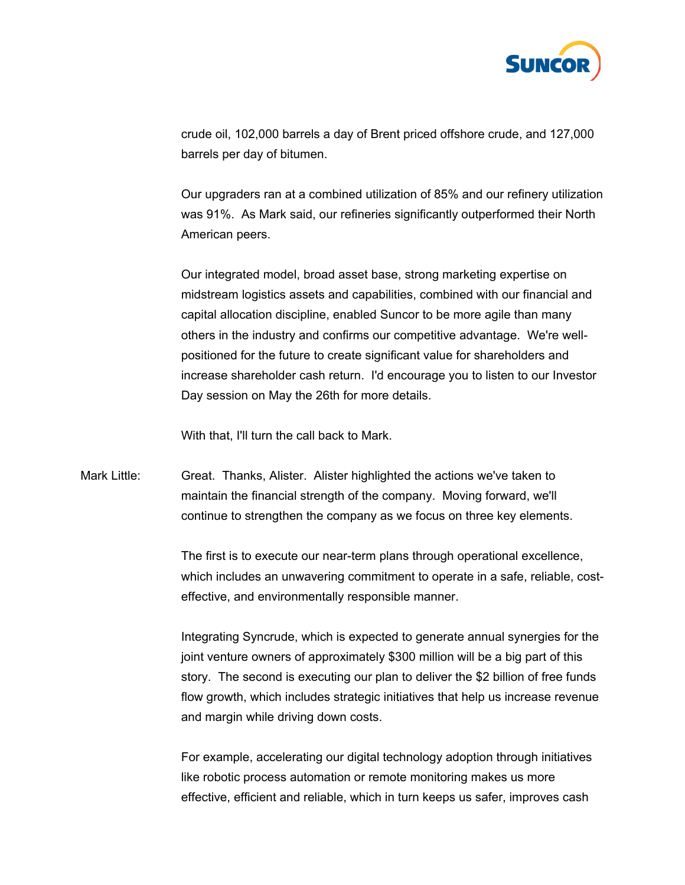

crude oil, 102,000 barrels a day of Brent priced offshore crude, and 127,000 barrels per day of bitumen.

Our upgraders ran at a combined utilization of 85% and our refinery utilization was 91%. As Mark said, our refineries significantly outperformed their North American peers.

Our integrated model, broad asset base, strong marketing expertise on midstream logistics assets and capabilities, combined with our financial and capital allocation discipline, enabled Suncor to be more agile than many others in the industry and confirms our competitive advantage. We're wellpositioned for the future to create significant value for shareholders and increase shareholder cash return. I'd encourage you to listen to our Investor Day session on May the 26th for more details.

With that, I'll turn the call back to Mark.

Mark Little: Great. Thanks, Alister. Alister highlighted the actions we've taken to maintain the financial strength of the company. Moving forward, we'll continue to strengthen the company as we focus on three key elements.

> The first is to execute our near-term plans through operational excellence, which includes an unwavering commitment to operate in a safe, reliable, costeffective, and environmentally responsible manner.

> Integrating Syncrude, which is expected to generate annual synergies for the joint venture owners of approximately \$300 million will be a big part of this story. The second is executing our plan to deliver the \$2 billion of free funds flow growth, which includes strategic initiatives that help us increase revenue and margin while driving down costs.

For example, accelerating our digital technology adoption through initiatives like robotic process automation or remote monitoring makes us more effective, efficient and reliable, which in turn keeps us safer, improves cash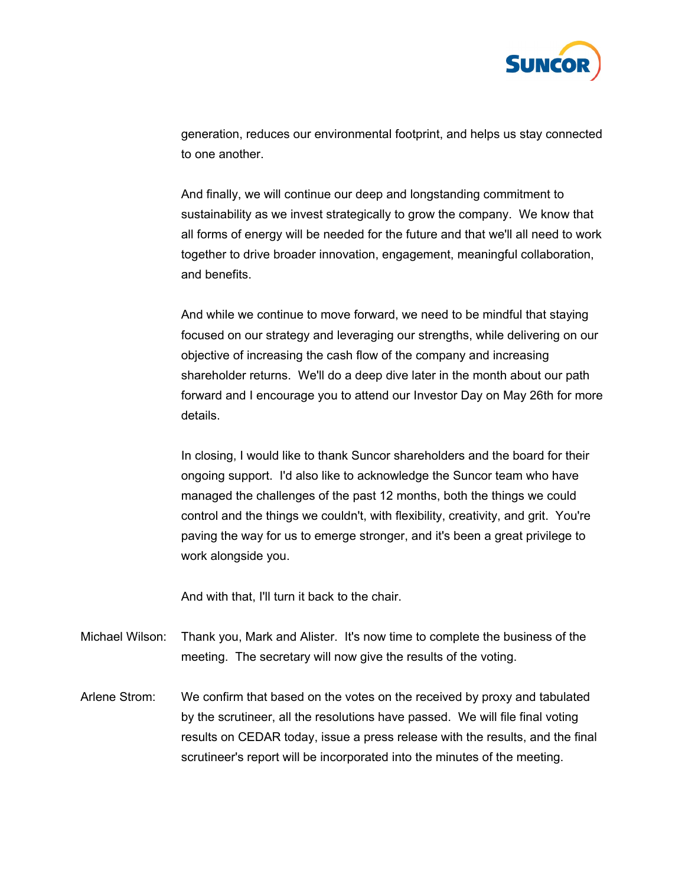

generation, reduces our environmental footprint, and helps us stay connected to one another.

And finally, we will continue our deep and longstanding commitment to sustainability as we invest strategically to grow the company. We know that all forms of energy will be needed for the future and that we'll all need to work together to drive broader innovation, engagement, meaningful collaboration, and benefits.

And while we continue to move forward, we need to be mindful that staying focused on our strategy and leveraging our strengths, while delivering on our objective of increasing the cash flow of the company and increasing shareholder returns. We'll do a deep dive later in the month about our path forward and I encourage you to attend our Investor Day on May 26th for more details.

In closing, I would like to thank Suncor shareholders and the board for their ongoing support. I'd also like to acknowledge the Suncor team who have managed the challenges of the past 12 months, both the things we could control and the things we couldn't, with flexibility, creativity, and grit. You're paving the way for us to emerge stronger, and it's been a great privilege to work alongside you.

And with that, I'll turn it back to the chair.

Michael Wilson: Thank you, Mark and Alister. It's now time to complete the business of the meeting. The secretary will now give the results of the voting.

Arlene Strom: We confirm that based on the votes on the received by proxy and tabulated by the scrutineer, all the resolutions have passed. We will file final voting results on CEDAR today, issue a press release with the results, and the final scrutineer's report will be incorporated into the minutes of the meeting.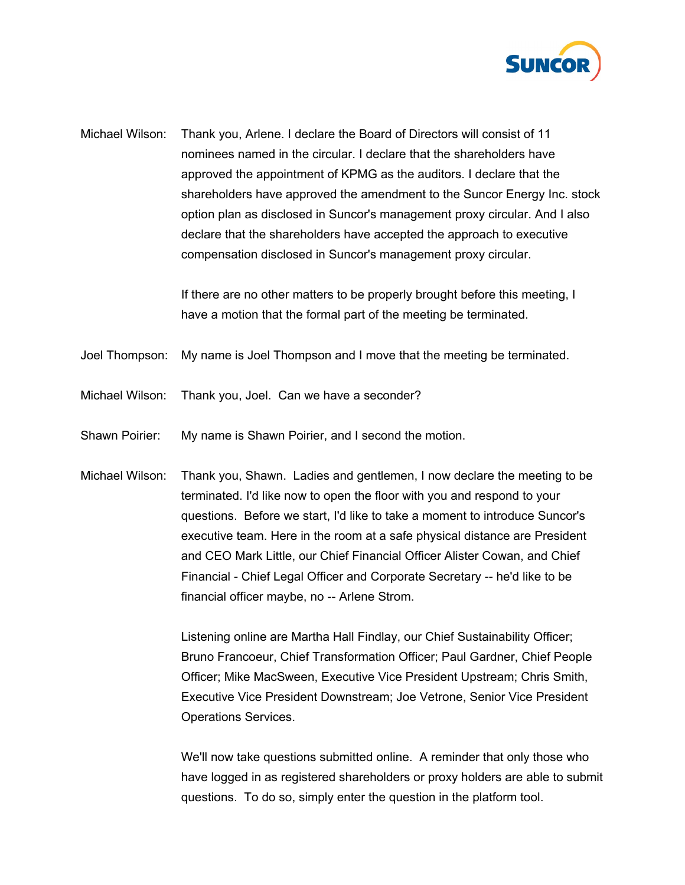

Michael Wilson: Thank you, Arlene. I declare the Board of Directors will consist of 11 nominees named in the circular. I declare that the shareholders have approved the appointment of KPMG as the auditors. I declare that the shareholders have approved the amendment to the Suncor Energy Inc. stock option plan as disclosed in Suncor's management proxy circular. And I also declare that the shareholders have accepted the approach to executive compensation disclosed in Suncor's management proxy circular.

> If there are no other matters to be properly brought before this meeting, I have a motion that the formal part of the meeting be terminated.

Joel Thompson: My name is Joel Thompson and I move that the meeting be terminated.

- Michael Wilson: Thank you, Joel. Can we have a seconder?
- Shawn Poirier: My name is Shawn Poirier, and I second the motion.
- Michael Wilson: Thank you, Shawn. Ladies and gentlemen, I now declare the meeting to be terminated. I'd like now to open the floor with you and respond to your questions. Before we start, I'd like to take a moment to introduce Suncor's executive team. Here in the room at a safe physical distance are President and CEO Mark Little, our Chief Financial Officer Alister Cowan, and Chief Financial - Chief Legal Officer and Corporate Secretary -- he'd like to be financial officer maybe, no -- Arlene Strom.

Listening online are Martha Hall Findlay, our Chief Sustainability Officer; Bruno Francoeur, Chief Transformation Officer; Paul Gardner, Chief People Officer; Mike MacSween, Executive Vice President Upstream; Chris Smith, Executive Vice President Downstream; Joe Vetrone, Senior Vice President Operations Services.

We'll now take questions submitted online. A reminder that only those who have logged in as registered shareholders or proxy holders are able to submit questions. To do so, simply enter the question in the platform tool.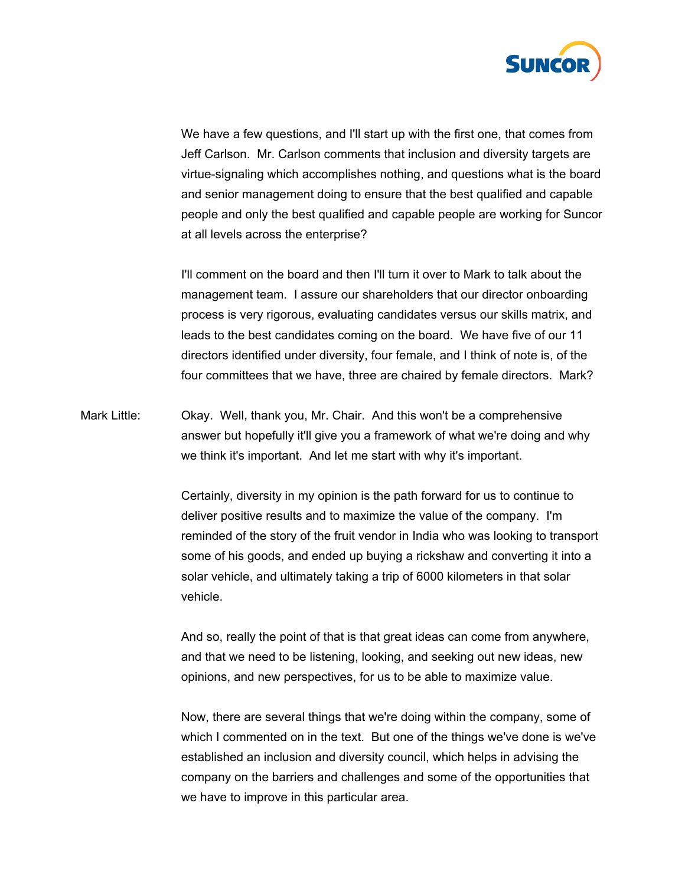

We have a few questions, and I'll start up with the first one, that comes from Jeff Carlson. Mr. Carlson comments that inclusion and diversity targets are virtue-signaling which accomplishes nothing, and questions what is the board and senior management doing to ensure that the best qualified and capable people and only the best qualified and capable people are working for Suncor at all levels across the enterprise?

I'll comment on the board and then I'll turn it over to Mark to talk about the management team. I assure our shareholders that our director onboarding process is very rigorous, evaluating candidates versus our skills matrix, and leads to the best candidates coming on the board. We have five of our 11 directors identified under diversity, four female, and I think of note is, of the four committees that we have, three are chaired by female directors. Mark?

Mark Little: Okay. Well, thank you, Mr. Chair. And this won't be a comprehensive answer but hopefully it'll give you a framework of what we're doing and why we think it's important. And let me start with why it's important.

> Certainly, diversity in my opinion is the path forward for us to continue to deliver positive results and to maximize the value of the company. I'm reminded of the story of the fruit vendor in India who was looking to transport some of his goods, and ended up buying a rickshaw and converting it into a solar vehicle, and ultimately taking a trip of 6000 kilometers in that solar vehicle.

And so, really the point of that is that great ideas can come from anywhere, and that we need to be listening, looking, and seeking out new ideas, new opinions, and new perspectives, for us to be able to maximize value.

Now, there are several things that we're doing within the company, some of which I commented on in the text. But one of the things we've done is we've established an inclusion and diversity council, which helps in advising the company on the barriers and challenges and some of the opportunities that we have to improve in this particular area.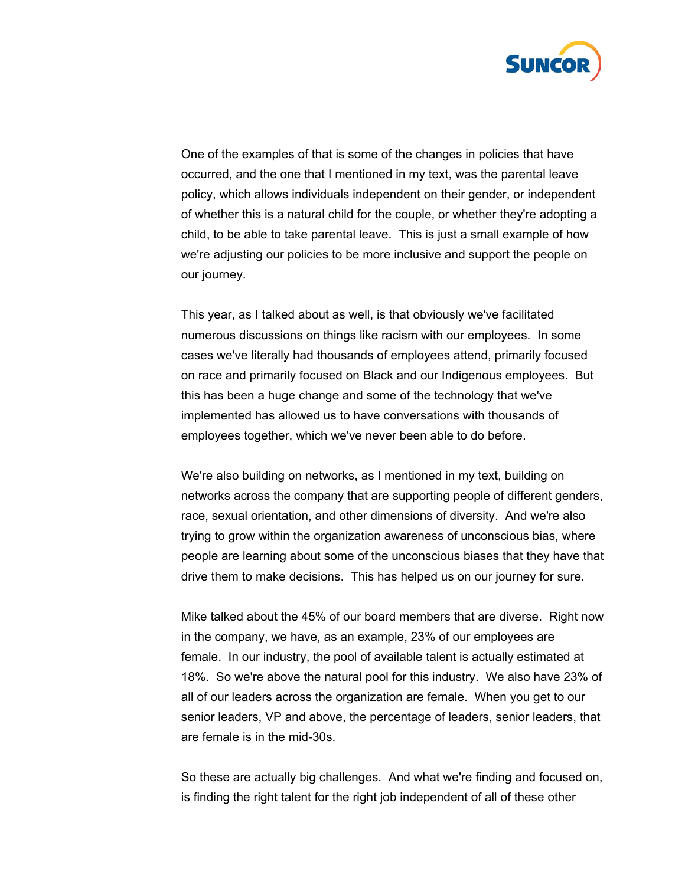

One of the examples of that is some of the changes in policies that have occurred, and the one that I mentioned in my text, was the parental leave policy, which allows individuals independent on their gender, or independent of whether this is a natural child for the couple, or whether they're adopting a child, to be able to take parental leave. This is just a small example of how we're adjusting our policies to be more inclusive and support the people on our journey.

This year, as I talked about as well, is that obviously we've facilitated numerous discussions on things like racism with our employees. In some cases we've literally had thousands of employees attend, primarily focused on race and primarily focused on Black and our Indigenous employees. But this has been a huge change and some of the technology that we've implemented has allowed us to have conversations with thousands of employees together, which we've never been able to do before.

We're also building on networks, as I mentioned in my text, building on networks across the company that are supporting people of different genders, race, sexual orientation, and other dimensions of diversity. And we're also trying to grow within the organization awareness of unconscious bias, where people are learning about some of the unconscious biases that they have that drive them to make decisions. This has helped us on our journey for sure.

Mike talked about the 45% of our board members that are diverse. Right now in the company, we have, as an example, 23% of our employees are female. In our industry, the pool of available talent is actually estimated at 18%. So we're above the natural pool for this industry. We also have 23% of all of our leaders across the organization are female. When you get to our senior leaders, VP and above, the percentage of leaders, senior leaders, that are female is in the mid-30s.

So these are actually big challenges. And what we're finding and focused on, is finding the right talent for the right job independent of all of these other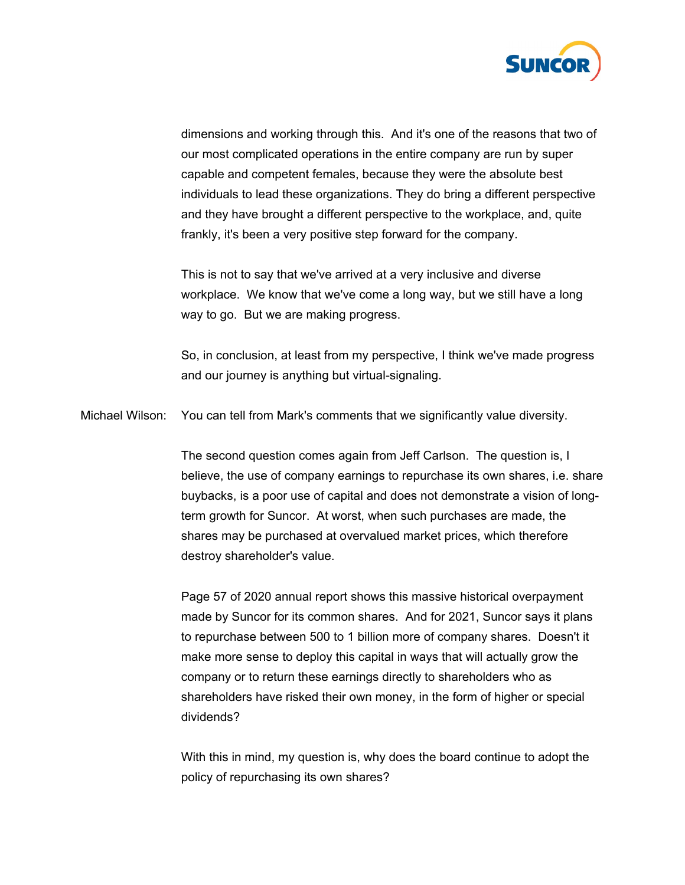

dimensions and working through this. And it's one of the reasons that two of our most complicated operations in the entire company are run by super capable and competent females, because they were the absolute best individuals to lead these organizations. They do bring a different perspective and they have brought a different perspective to the workplace, and, quite frankly, it's been a very positive step forward for the company.

This is not to say that we've arrived at a very inclusive and diverse workplace. We know that we've come a long way, but we still have a long way to go. But we are making progress.

So, in conclusion, at least from my perspective, I think we've made progress and our journey is anything but virtual-signaling.

Michael Wilson: You can tell from Mark's comments that we significantly value diversity.

The second question comes again from Jeff Carlson. The question is, I believe, the use of company earnings to repurchase its own shares, i.e. share buybacks, is a poor use of capital and does not demonstrate a vision of longterm growth for Suncor. At worst, when such purchases are made, the shares may be purchased at overvalued market prices, which therefore destroy shareholder's value.

Page 57 of 2020 annual report shows this massive historical overpayment made by Suncor for its common shares. And for 2021, Suncor says it plans to repurchase between 500 to 1 billion more of company shares. Doesn't it make more sense to deploy this capital in ways that will actually grow the company or to return these earnings directly to shareholders who as shareholders have risked their own money, in the form of higher or special dividends?

With this in mind, my question is, why does the board continue to adopt the policy of repurchasing its own shares?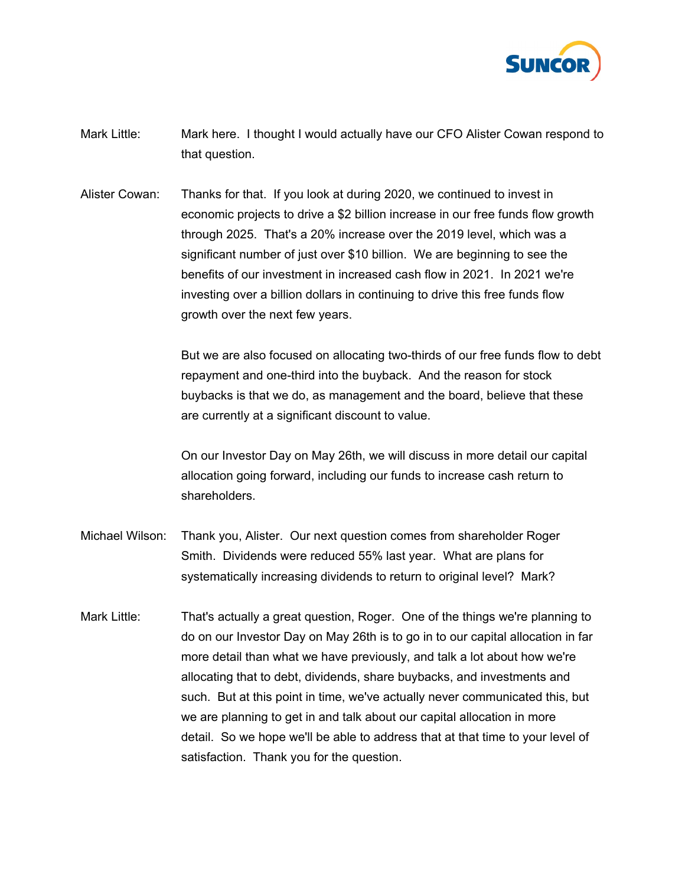

- Mark Little: Mark here. I thought I would actually have our CFO Alister Cowan respond to that question.
- Alister Cowan: Thanks for that. If you look at during 2020, we continued to invest in economic projects to drive a \$2 billion increase in our free funds flow growth through 2025. That's a 20% increase over the 2019 level, which was a significant number of just over \$10 billion. We are beginning to see the benefits of our investment in increased cash flow in 2021. In 2021 we're investing over a billion dollars in continuing to drive this free funds flow growth over the next few years.

But we are also focused on allocating two-thirds of our free funds flow to debt repayment and one-third into the buyback. And the reason for stock buybacks is that we do, as management and the board, believe that these are currently at a significant discount to value.

On our Investor Day on May 26th, we will discuss in more detail our capital allocation going forward, including our funds to increase cash return to shareholders.

- Michael Wilson: Thank you, Alister. Our next question comes from shareholder Roger Smith. Dividends were reduced 55% last year. What are plans for systematically increasing dividends to return to original level? Mark?
- Mark Little: That's actually a great question, Roger. One of the things we're planning to do on our Investor Day on May 26th is to go in to our capital allocation in far more detail than what we have previously, and talk a lot about how we're allocating that to debt, dividends, share buybacks, and investments and such. But at this point in time, we've actually never communicated this, but we are planning to get in and talk about our capital allocation in more detail. So we hope we'll be able to address that at that time to your level of satisfaction. Thank you for the question.